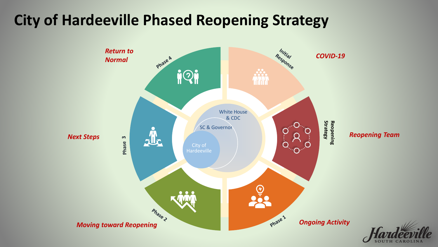# **City of Hardeeville Phased Reopening Strategy**

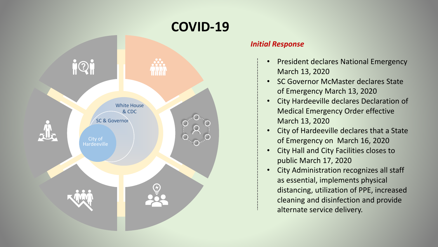

### *Initial Response*

- President declares National Emergency March 13, 2020
- SC Governor McMaster declares State of Emergency March 13, 2020
- City Hardeeville declares Declaration of Medical Emergency Order effective March 13, 2020
- City of Hardeeville declares that a State of Emergency on March 16, 2020
- City Hall and City Facilities closes to public March 17, 2020
- City Administration recognizes all staff as essential, implements physical distancing, utilization of PPE, increased cleaning and disinfection and provide alternate service delivery.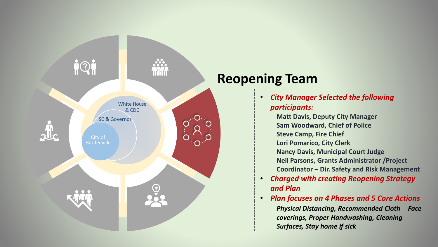

# **Reopening Team**

- *City Manager Selected the following participants:*
	- **Matt Davis, Deputy City Manager Sam Woodward, Chief of Police Steve Camp, Fire Chief**
	- **Lori Pomarico, City Clerk**
	- **Nancy Davis, Municipal Court Judge Neil Parsons, Grants Administrator /Project Coordinator – Dir. Safety and Risk Management**
- *Charged with creating Reopening Strategy and Plan*
- *Plan focuses on 4 Phases and 5 Core Actions Physical Distancing, Recommended Cloth Face coverings, Proper Handwashing, Cleaning Surfaces, Stay home if sick*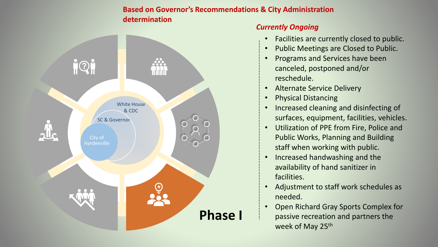## **Based on Governor's Recommendations & City Administration determination**



## *Currently Ongoing*

- Facilities are currently closed to public.
- Public Meetings are Closed to Public.
- Programs and Services have been canceled, postponed and/or reschedule.
- Alternate Service Delivery
- Physical Distancing
- Increased cleaning and disinfecting of surfaces, equipment, facilities, vehicles.
- Utilization of PPE from Fire, Police and Public Works, Planning and Building staff when working with public.
- Increased handwashing and the availability of hand sanitizer in facilities.
- Adjustment to staff work schedules as needed.
- Open Richard Gray Sports Complex for passive recreation and partners the week of May 25<sup>th</sup>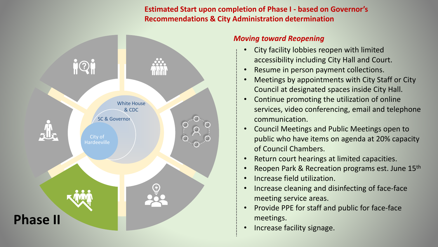**Estimated Start upon completion of Phase I - based on Governor's Recommendations & City Administration determination**



#### *Moving toward Reopening*

- City facility lobbies reopen with limited accessibility including City Hall and Court.
- Resume in person payment collections.
- Meetings by appointments with City Staff or City Council at designated spaces inside City Hall.
- Continue promoting the utilization of online services, video conferencing, email and telephone communication.
- Council Meetings and Public Meetings open to public who have items on agenda at 20% capacity of Council Chambers.
- Return court hearings at limited capacities.
- Reopen Park & Recreation programs est. June 15<sup>th</sup>
- Increase field utilization.
- Increase cleaning and disinfecting of face-face meeting service areas.
- Provide PPE for staff and public for face-face meetings.
- Increase facility signage.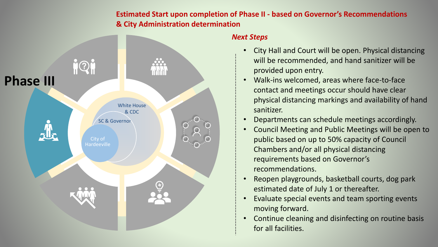**Estimated Start upon completion of Phase II - based on Governor's Recommendations & City Administration determination**



#### *Next Steps*

- City Hall and Court will be open. Physical distancing will be recommended, and hand sanitizer will be provided upon entry.
- Walk-ins welcomed, areas where face-to-face contact and meetings occur should have clear physical distancing markings and availability of hand sanitizer.
- Departments can schedule meetings accordingly.
- Council Meeting and Public Meetings will be open to public based on up to 50% capacity of Council Chambers and/or all physical distancing requirements based on Governor's recommendations.
- Reopen playgrounds, basketball courts, dog park estimated date of July 1 or thereafter.
- Evaluate special events and team sporting events moving forward.
- Continue cleaning and disinfecting on routine basis for all facilities.